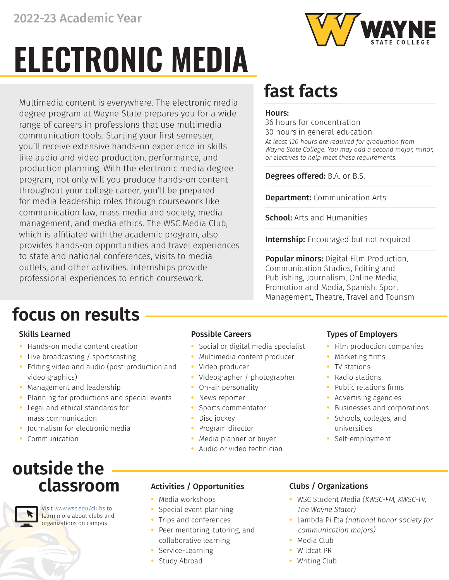# **ELECTRONIC MEDIA**

Multimedia content is everywhere. The electronic media degree program at Wayne State prepares you for a wide range of careers in professions that use multimedia communication tools. Starting your first semester, you'll receive extensive hands-on experience in skills like audio and video production, performance, and production planning. With the electronic media degree program, not only will you produce hands-on content throughout your college career, you'll be prepared for media leadership roles through coursework like communication law, mass media and society, media management, and media ethics. The WSC Media Club, which is affiliated with the academic program, also provides hands-on opportunities and travel experiences to state and national conferences, visits to media outlets, and other activities. Internships provide professional experiences to enrich coursework.

## **focus on results**

- **•** Hands-on media content creation
- **•** Live broadcasting / sportscasting
- **•** Editing video and audio (post-production and video graphics)
- **•** Management and leadership
- **•** Planning for productions and special events
- **•** Legal and ethical standards for mass communication
- **•** Journalism for electronic media
- **•** Communication

### **outside the classroom**



Visit www.wsc.edu/clubs to learn more about clubs and organizations on campus.

- **•** Social or digital media specialist
- **•** Multimedia content producer
- **•** Video producer
- **•** Videographer / photographer
- **•** On-air personality
- **•** News reporter
- **•** Sports commentator
- **•** Disc jockey
- **•** Program director
- **•** Media planner or buyer
- **•** Audio or video technician

### Activities / Opportunities Clubs / Organizations

- **•** Media workshops
- **•** Special event planning
- **•** Trips and conferences
- **•** Peer mentoring, tutoring, and collaborative learning
- **•** Service-Learning
- **•** Study Abroad

## **fast facts**

### Hours:

*At least 120 hours are required for graduation from Wayne State College. You may add a second major, minor, or electives to help meet these requirements.*  36 hours for concentration 30 hours in general education

Degrees offered: B.A. or B.S.

**Department: Communication Arts** 

**School:** Arts and Humanities

Internship: Encouraged but not required

**Popular minors:** Digital Film Production, Communication Studies, Editing and Publishing, Journalism, Online Media, Promotion and Media, Spanish, Sport Management, Theatre, Travel and Tourism

### Skills Learned **Possible Careers Possible Careers Possible Careers Possible Careers Possible Careers Possible Careers**

- **•** Film production companies
- **•** Marketing firms
- **•** TV stations
- **•** Radio stations
- **•** Public relations firms
- **•** Advertising agencies
- **•** Businesses and corporations
- **•** Schools, colleges, and universities
- **•** Self-employment

- **•** WSC Student Media *(KWSC-FM, KWSC-TV, The Wayne Stater)*
- **•** Lambda Pi Eta *(national honor society for communication majors)*
- **•** Media Club
- **•** Wildcat PR
- **•** Writing Club